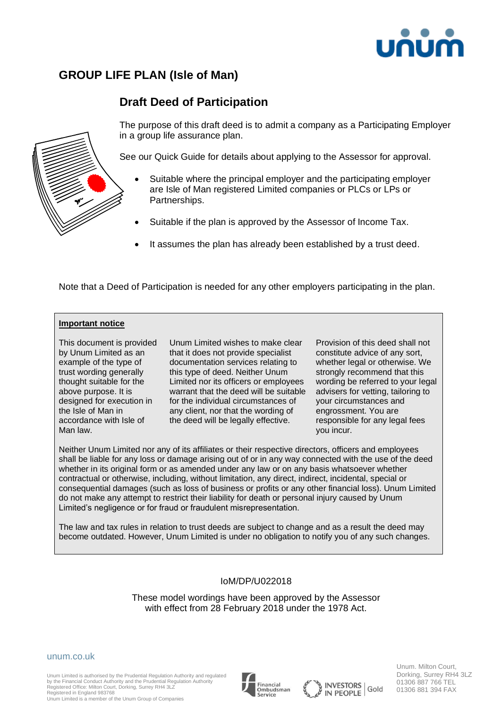

# **GROUP LIFE PLAN (Isle of Man)**

# **Draft Deed of Participation**



The purpose of this draft deed is to admit a company as a Participating Employer in a group life assurance plan.

See our Quick Guide for details about applying to the Assessor for approval.

- Suitable where the principal employer and the participating employer are Isle of Man registered Limited companies or PLCs or LPs or Partnerships.
- Suitable if the plan is approved by the Assessor of Income Tax.
- It assumes the plan has already been established by a trust deed.

Note that a Deed of Participation is needed for any other employers participating in the plan.

### **Important notice**

This document is provided by Unum Limited as an example of the type of trust wording generally thought suitable for the above purpose. It is designed for execution in the Isle of Man in accordance with Isle of Man law.

Unum Limited wishes to make clear that it does not provide specialist documentation services relating to this type of deed. Neither Unum Limited nor its officers or employees warrant that the deed will be suitable for the individual circumstances of any client, nor that the wording of the deed will be legally effective.

Provision of this deed shall not constitute advice of any sort, whether legal or otherwise. We strongly recommend that this wording be referred to your legal advisers for vetting, tailoring to your circumstances and engrossment. You are responsible for any legal fees you incur.

Neither Unum Limited nor any of its affiliates or their respective directors, officers and employees shall be liable for any loss or damage arising out of or in any way connected with the use of the deed whether in its original form or as amended under any law or on any basis whatsoever whether contractual or otherwise, including, without limitation, any direct, indirect, incidental, special or consequential damages (such as loss of business or profits or any other financial loss). Unum Limited do not make any attempt to restrict their liability for death or personal injury caused by Unum Limited's negligence or for fraud or fraudulent misrepresentation.

The law and tax rules in relation to trust deeds are subject to change and as a result the deed may become outdated. However, Unum Limited is under no obligation to notify you of any such changes.

### IoM/DP/U022018

These model wordings have been approved by the Assessor with effect from 28 February 2018 under the 1978 Act.

### unum.co.uk

Unum Limited is authorised by the Prudential Regulation Authority and regulated by the Financial Conduct Authority and the Prudential Regulation Authority Registered Office: Milton Court, Dorking, Surrey RH4 3LZ Registered in England 983768 Unum Limited is a member of the Unum Group of Companies







Unum. Milton Court, Dorking, Surrey RH4 3LZ 01306 887 766 TEL 01306 881 394 FAX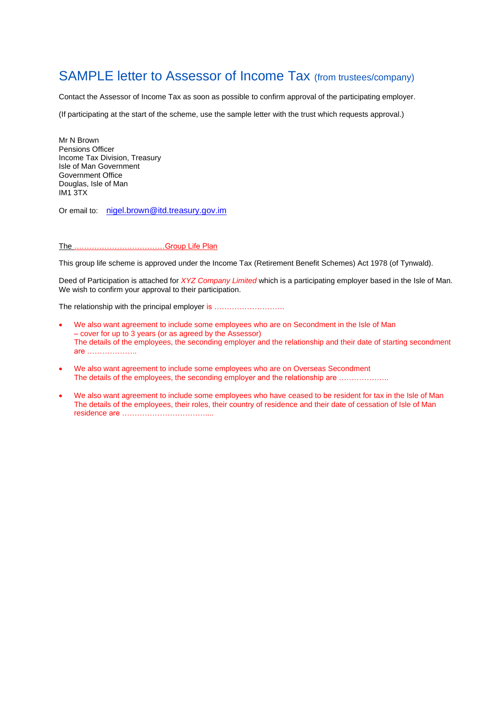# SAMPLE letter to Assessor of Income Tax (from trustees/company)

Contact the Assessor of Income Tax as soon as possible to confirm approval of the participating employer.

(If participating at the start of the scheme, use the sample letter with the trust which requests approval.)

Mr N Brown Pensions Officer Income Tax Division, Treasury Isle of Man Government Government Office Douglas, Isle of Man IM1 3TX

Or email to: [nigel.brown@itd.treasury.gov.im](mailto:nigel.brown@itd.treasury.gov.im)

#### The ………………………………Group Life Plan

This group life scheme is approved under the Income Tax (Retirement Benefit Schemes) Act 1978 (of Tynwald).

Deed of Participation is attached for *XYZ Company Limited* which is a participating employer based in the Isle of Man. We wish to confirm your approval to their participation.

The relationship with the principal employer is ................................

- We also want agreement to include some employees who are on Secondment in the Isle of Man – cover for up to 3 years (or as agreed by the Assessor) The details of the employees, the seconding employer and the relationship and their date of starting secondment are ………………..
- We also want agreement to include some employees who are on Overseas Secondment The details of the employees, the seconding employer and the relationship are ………………
- We also want agreement to include some employees who have ceased to be resident for tax in the Isle of Man The details of the employees, their roles, their country of residence and their date of cessation of Isle of Man residence are ……………………………....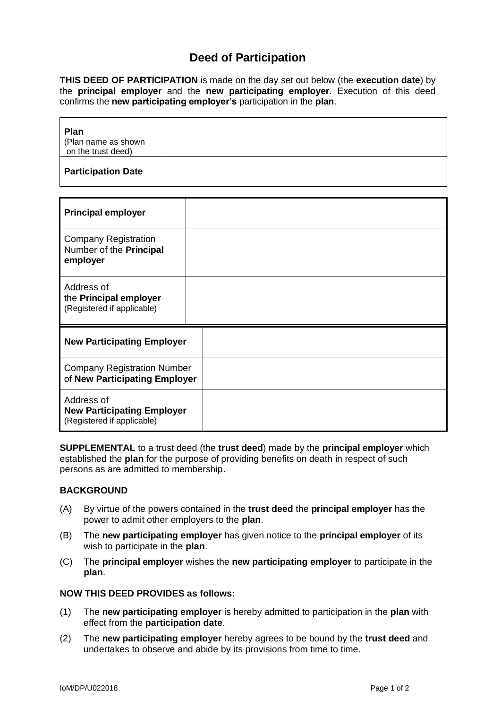## **Deed of Participation**

**THIS DEED OF PARTICIPATION** is made on the day set out below (the **execution date**) by the **principal employer** and the **new participating employer**. Execution of this deed confirms the **new participating employer's** participation in the **plan**.

| <b>Plan</b><br>(Plan name as shown<br>on the trust deed) |  |
|----------------------------------------------------------|--|
| <b>Participation Date</b>                                |  |

| <b>Principal employer</b>                                                     |  |
|-------------------------------------------------------------------------------|--|
| <b>Company Registration</b><br>Number of the Principal<br>employer            |  |
| Address of<br>the Principal employer<br>(Registered if applicable)            |  |
| <b>New Participating Employer</b>                                             |  |
| <b>Company Registration Number</b><br>of New Participating Employer           |  |
| Address of<br><b>New Participating Employer</b><br>(Registered if applicable) |  |

**SUPPLEMENTAL** to a trust deed (the **trust deed**) made by the **principal employer** which established the **plan** for the purpose of providing benefits on death in respect of such persons as are admitted to membership.

## **BACKGROUND**

- (A) By virtue of the powers contained in the **trust deed** the **principal employer** has the power to admit other employers to the **plan**.
- (B) The **new participating employer** has given notice to the **principal employer** of its wish to participate in the **plan**.
- (C) The **principal employer** wishes the **new participating employer** to participate in the **plan**.

## **NOW THIS DEED PROVIDES as follows:**

- (1) The **new participating employer** is hereby admitted to participation in the **plan** with effect from the **participation date**.
- (2) The **new participating employer** hereby agrees to be bound by the **trust deed** and undertakes to observe and abide by its provisions from time to time.